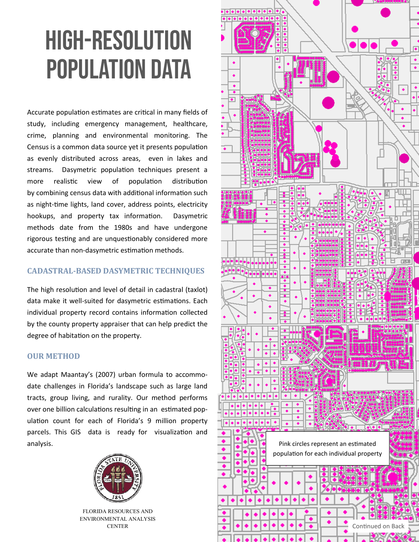# High-Resolution Population Data

Accurate population estimates are critical in many fields of study, including emergency management, healthcare, crime, planning and environmental monitoring. The Census is a common data source yet it presents population as evenly distributed across areas, even in lakes and streams. Dasymetric population techniques present a more realistic view of population distribution by combining census data with additional information such as night-time lights, land cover, address points, electricity hookups, and property tax information. Dasymetric methods date from the 1980s and have undergone rigorous testing and are unquestionably considered more accurate than non‐dasymetric estimation methods.

### **CADASTRAL-BASED DASYMETRIC TECHNIQUES**

The high resolution and level of detail in cadastral (taxlot) data make it well-suited for dasymetric estimations. Each individual property record contains information collected by the county property appraiser that can help predict the degree of habitation on the property.

#### **OUR METHOD**

We adapt Maantay's (2007) urban formula to accommo‐ date challenges in Florida's landscape such as large land tracts, group living, and rurality. Our method performs over one billion calculations resulting in an estimated pop‐ ulation count for each of Florida's 9 million property parcels. This GIS data is ready for visualization and analysis.



FLORIDA RESOURCES AND ENVIRONMENTAL ANALYSIS **CENTER**